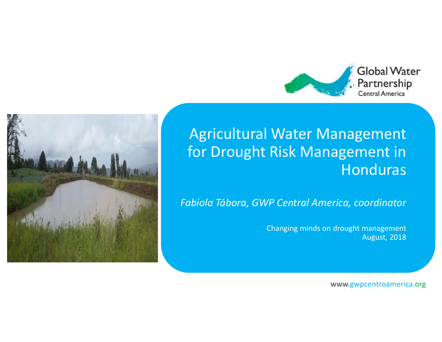



#### Agricultural Water Management for Drought Risk Management in Honduras

*Fabiola Tábora, GWP Central America, coordinator*

Changing minds on drought managementAugust, 2018

www.gwpcentroamerica.org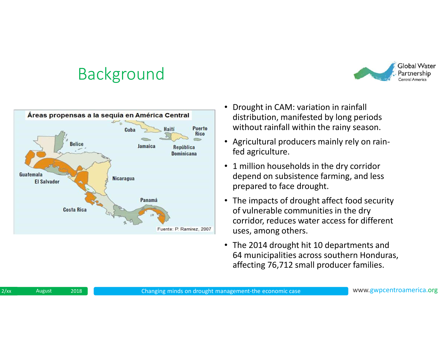# Background





- • Drought in CAM: variation in rainfall distribution, manifested by long periods without rainfall within the rainy season.
- Agricultural producers mainly rely on rainfed agriculture.
- 1 million households in the dry corridor depend on subsistence farming, and less prepared to face drought.
- The impacts of drought affect food security of vulnerable communities in the dry corridor, reduces water access for different uses, among others.
- The 2014 drought hit 10 departments and 64 municipalities across southern Honduras, affecting 76,712 small producer families.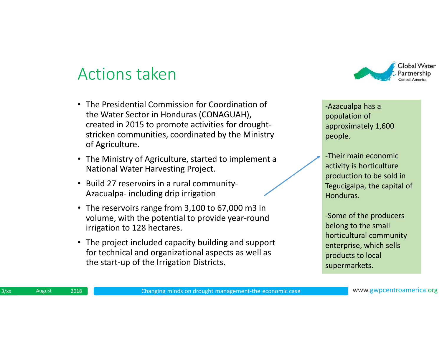#### Actions taken

- The Presidential Commission for Coordination of the Water Sector in Honduras (CONAGUAH), created in 2015 to promote activities for droughtstricken communities, coordinated by the Ministry of Agriculture.
- The Ministry of Agriculture, started to implement a National Water Harvesting Project.
- Build 27 reservoirs in a rural community-Azacualpa- including drip irrigation
- The reservoirs range from 3,100 to 67,000 m3 in volume, with the potential to provide year-round irrigation to 128 hectares.
- The project included capacity building and support for technical and organizational aspects as well asthe start-up of the Irrigation Districts.



-Azacualpa has a population of approximately 1,600 people.

-Their main economic activity is horticulture production to be sold in Tegucigalpa, the capital of Honduras.

-Some of the producers belong to the small horticultural community enterprise, which sells products to local supermarkets.

 $3/xx$ August 2018 Changing minds on drought management-the economic case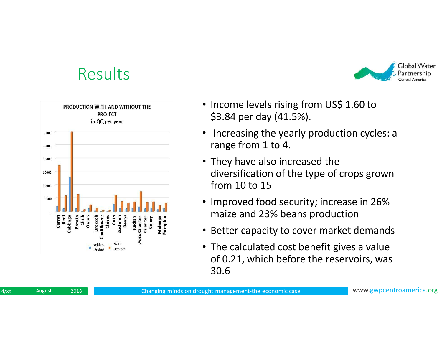### Results





- Income levels rising from US\$ 1.60 to \$3.84 per day (41.5%).
- $\bullet$  Increasing the yearly production cycles: a range from 1 to 4.
- They have also increased the diversification of the type of crops grown from 10 to 15
- Improved food security; increase in 26% maize and 23% beans production
- Better capacity to cover market demands
- The calculated cost benefit gives a value of 0.21, which before the reservoirs, was 30.6

 $4$ / $xx$ August 2018 Changing minds on drought management-the economic case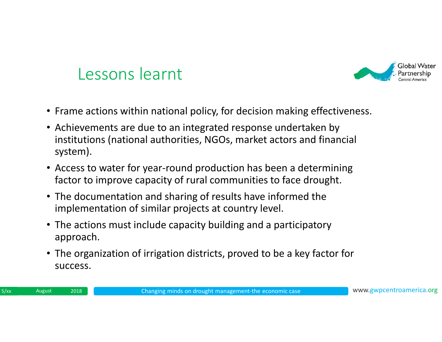

## Lessons learnt

- Frame actions within national policy, for decision making effectiveness.
- Achievements are due to an integrated response undertaken by institutions (national authorities, NGOs, market actors and financial system).
- Access to water for year-round production has been a determining factor to improve capacity of rural communities to face drought.
- The documentation and sharing of results have informed the implementation of similar projects at country level.
- The actions must include capacity building and a participatory approach.
- The organization of irrigation districts, proved to be a key factor for success.